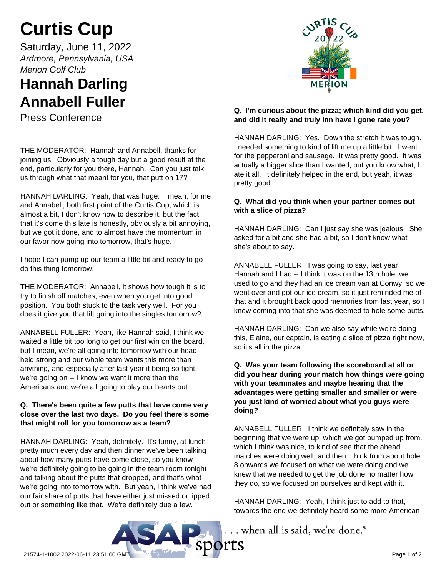# **Curtis Cup**

Saturday, June 11, 2022 *Ardmore, Pennsylvania, USA Merion Golf Club*

# **Hannah Darling Annabell Fuller**

Press Conference

THE MODERATOR: Hannah and Annabell, thanks for joining us. Obviously a tough day but a good result at the end, particularly for you there, Hannah. Can you just talk us through what that meant for you, that putt on 17?

HANNAH DARLING: Yeah, that was huge. I mean, for me and Annabell, both first point of the Curtis Cup, which is almost a bit, I don't know how to describe it, but the fact that it's come this late is honestly, obviously a bit annoying, but we got it done, and to almost have the momentum in our favor now going into tomorrow, that's huge.

I hope I can pump up our team a little bit and ready to go do this thing tomorrow.

THE MODERATOR: Annabell, it shows how tough it is to try to finish off matches, even when you get into good position. You both stuck to the task very well. For you does it give you that lift going into the singles tomorrow?

ANNABELL FULLER: Yeah, like Hannah said, I think we waited a little bit too long to get our first win on the board, but I mean, we're all going into tomorrow with our head held strong and our whole team wants this more than anything, and especially after last year it being so tight, we're going on -- I know we want it more than the Americans and we're all going to play our hearts out.

## **Q. There's been quite a few putts that have come very close over the last two days. Do you feel there's some that might roll for you tomorrow as a team?**

HANNAH DARLING: Yeah, definitely. It's funny, at lunch pretty much every day and then dinner we've been talking about how many putts have come close, so you know we're definitely going to be going in the team room tonight and talking about the putts that dropped, and that's what we're going into tomorrow with. But yeah, I think we've had our fair share of putts that have either just missed or lipped out or something like that. We're definitely due a few.



## **Q. I'm curious about the pizza; which kind did you get, and did it really and truly inn have I gone rate you?**

HANNAH DARLING: Yes. Down the stretch it was tough. I needed something to kind of lift me up a little bit. I went for the pepperoni and sausage. It was pretty good. It was actually a bigger slice than I wanted, but you know what, I ate it all. It definitely helped in the end, but yeah, it was pretty good.

## **Q. What did you think when your partner comes out with a slice of pizza?**

HANNAH DARLING: Can I just say she was jealous. She asked for a bit and she had a bit, so I don't know what she's about to say.

ANNABELL FULLER: I was going to say, last year Hannah and I had -- I think it was on the 13th hole, we used to go and they had an ice cream van at Conwy, so we went over and got our ice cream, so it just reminded me of that and it brought back good memories from last year, so I knew coming into that she was deemed to hole some putts.

HANNAH DARLING: Can we also say while we're doing this, Elaine, our captain, is eating a slice of pizza right now, so it's all in the pizza.

#### **Q. Was your team following the scoreboard at all or did you hear during your match how things were going with your teammates and maybe hearing that the advantages were getting smaller and smaller or were you just kind of worried about what you guys were doing?**

ANNABELL FULLER: I think we definitely saw in the beginning that we were up, which we got pumped up from, which I think was nice, to kind of see that the ahead matches were doing well, and then I think from about hole 8 onwards we focused on what we were doing and we knew that we needed to get the job done no matter how they do, so we focused on ourselves and kept with it.

HANNAH DARLING: Yeah, I think just to add to that, towards the end we definitely heard some more American

... when all is said, we're done.®